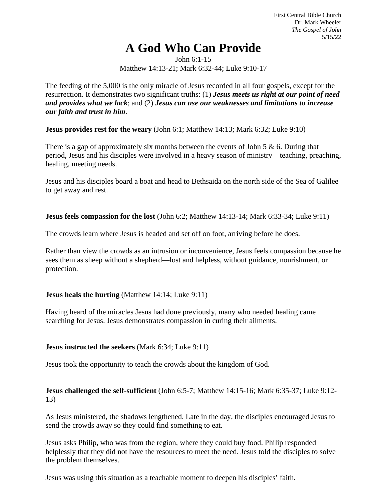First Central Bible Church Dr. Mark Wheeler *The Gospel of John* 5/15/22

# **A God Who Can Provide**

John 6:1-15 Matthew 14:13-21; Mark 6:32-44; Luke 9:10-17

The feeding of the 5,000 is the only miracle of Jesus recorded in all four gospels, except for the resurrection. It demonstrates two significant truths: (1) *Jesus meets us right at our point of need and provides what we lack*; and (2) *Jesus can use our weaknesses and limitations to increase our faith and trust in him*.

**Jesus provides rest for the weary** (John 6:1; Matthew 14:13; Mark 6:32; Luke 9:10)

There is a gap of approximately six months between the events of John 5  $\&$  6. During that period, Jesus and his disciples were involved in a heavy season of ministry—teaching, preaching, healing, meeting needs.

Jesus and his disciples board a boat and head to Bethsaida on the north side of the Sea of Galilee to get away and rest.

**Jesus feels compassion for the lost** (John 6:2; Matthew 14:13-14; Mark 6:33-34; Luke 9:11)

The crowds learn where Jesus is headed and set off on foot, arriving before he does.

Rather than view the crowds as an intrusion or inconvenience, Jesus feels compassion because he sees them as sheep without a shepherd—lost and helpless, without guidance, nourishment, or protection.

### **Jesus heals the hurting** (Matthew 14:14; Luke 9:11)

Having heard of the miracles Jesus had done previously, many who needed healing came searching for Jesus. Jesus demonstrates compassion in curing their ailments.

### **Jesus instructed the seekers** (Mark 6:34; Luke 9:11)

Jesus took the opportunity to teach the crowds about the kingdom of God.

## **Jesus challenged the self-sufficient** (John 6:5-7; Matthew 14:15-16; Mark 6:35-37; Luke 9:12- 13)

As Jesus ministered, the shadows lengthened. Late in the day, the disciples encouraged Jesus to send the crowds away so they could find something to eat.

Jesus asks Philip, who was from the region, where they could buy food. Philip responded helplessly that they did not have the resources to meet the need. Jesus told the disciples to solve the problem themselves.

Jesus was using this situation as a teachable moment to deepen his disciples' faith.